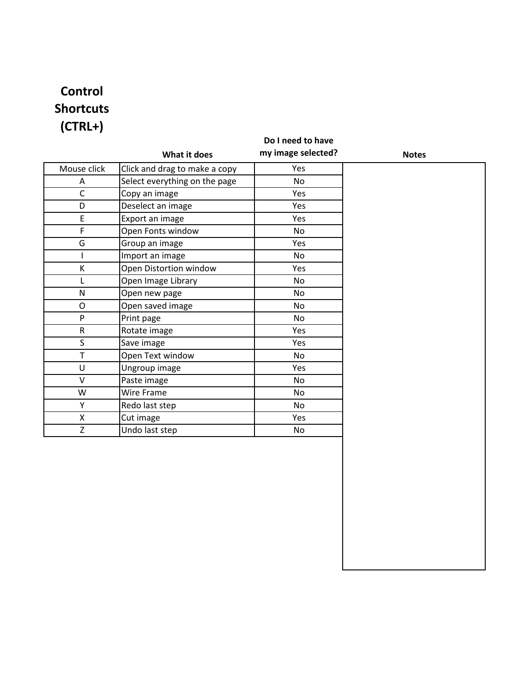# **Control Shortcuts (CTRL+)**

| What it does<br>Click and drag to make a copy<br>Select everything on the page | my image selected?<br>Yes | <b>Notes</b> |
|--------------------------------------------------------------------------------|---------------------------|--------------|
|                                                                                |                           |              |
|                                                                                |                           |              |
|                                                                                | No                        |              |
| Copy an image                                                                  | Yes                       |              |
| Deselect an image                                                              | Yes                       |              |
| Export an image                                                                | Yes                       |              |
| Open Fonts window                                                              | <b>No</b>                 |              |
| Group an image                                                                 | Yes                       |              |
| Import an image                                                                | No                        |              |
| Open Distortion window                                                         | Yes                       |              |
| Open Image Library                                                             | <b>No</b>                 |              |
| Open new page                                                                  | No                        |              |
| Open saved image                                                               | No                        |              |
| Print page                                                                     | No                        |              |
| Rotate image                                                                   | Yes                       |              |
| Save image                                                                     | Yes                       |              |
| Open Text window                                                               | No                        |              |
| Ungroup image                                                                  | Yes                       |              |
| Paste image                                                                    | No                        |              |
| Wire Frame                                                                     | No                        |              |
| Redo last step                                                                 | No                        |              |
| Cut image                                                                      | Yes                       |              |
| Undo last step                                                                 | No                        |              |
|                                                                                |                           |              |
|                                                                                |                           |              |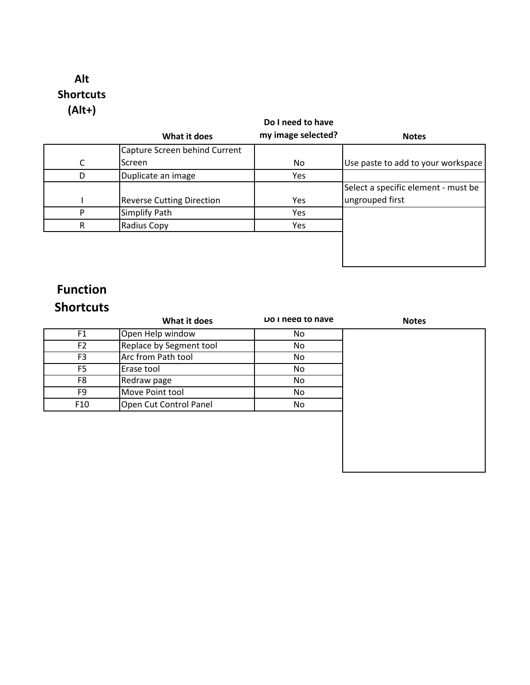## **Alt Shortcuts (Alt+)**

#### **What it does Do I need to have my image selected?** Notes C Capture Screen behind Current Screen **No** No Use paste to add to your workspace D Duplicate an image The Yes I Reverse Cutting Direction | Yes Select a specific element - must be ungrouped first P Simplify Path Yes R Radius Copy Yes

## **Function Shortcuts**

|                 | What it does            | Do I need to have | <b>Notes</b> |
|-----------------|-------------------------|-------------------|--------------|
| F <sub>1</sub>  | Open Help window        | No.               |              |
| F <sub>2</sub>  | Replace by Segment tool | No                |              |
| F <sub>3</sub>  | Arc from Path tool      | No                |              |
| F <sub>5</sub>  | Erase tool              | No.               |              |
| F8              | Redraw page             | No.               |              |
| F <sub>9</sub>  | Move Point tool         | No                |              |
| F <sub>10</sub> | Open Cut Control Panel  | No                |              |
|                 |                         |                   |              |
|                 |                         |                   |              |
|                 |                         |                   |              |